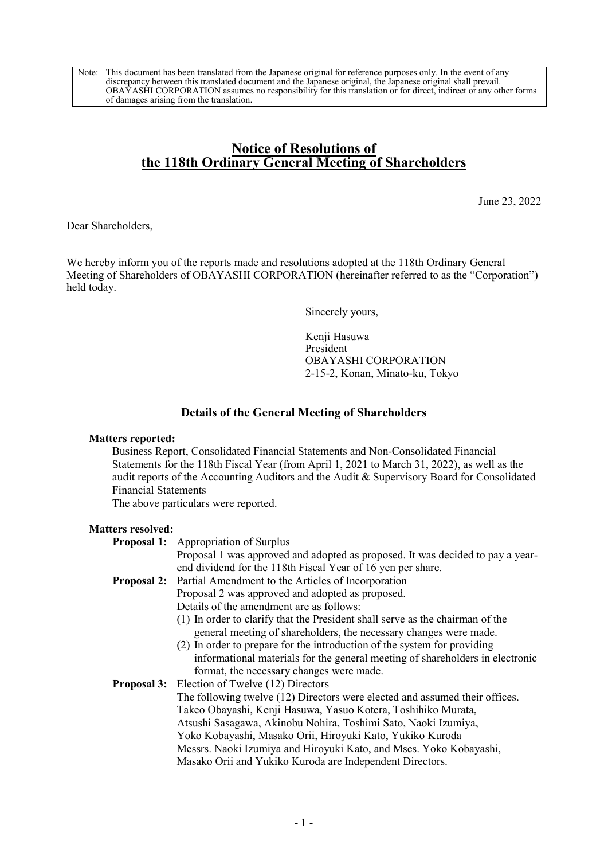Note: This document has been translated from the Japanese original for reference purposes only. In the event of any discrepancy between this translated document and the Japanese original, the Japanese original shall prevail. OBAYASHI CORPORATION assumes no responsibility for this translation or for direct, indirect or any other forms of damages arising from the translation.

# Notice of Resolutions of the 118th Ordinary General Meeting of Shareholders

June 23, 2022

Dear Shareholders,

We hereby inform you of the reports made and resolutions adopted at the 118th Ordinary General Meeting of Shareholders of OBAYASHI CORPORATION (hereinafter referred to as the "Corporation") held today.

Sincerely yours,

Kenji Hasuwa President OBAYASHI CORPORATION 2-15-2, Konan, Minato-ku, Tokyo

## Details of the General Meeting of Shareholders

### Matters reported:

 Business Report, Consolidated Financial Statements and Non-Consolidated Financial Statements for the 118th Fiscal Year (from April 1, 2021 to March 31, 2022), as well as the audit reports of the Accounting Auditors and the Audit & Supervisory Board for Consolidated Financial Statements

The above particulars were reported.

#### Matters resolved:

|  | <b>Proposal 1:</b> Appropriation of Surplus                                                                                                  |  |  |
|--|----------------------------------------------------------------------------------------------------------------------------------------------|--|--|
|  | Proposal 1 was approved and adopted as proposed. It was decided to pay a year-                                                               |  |  |
|  | end dividend for the 118th Fiscal Year of 16 yen per share.                                                                                  |  |  |
|  | <b>Proposal 2:</b> Partial Amendment to the Articles of Incorporation                                                                        |  |  |
|  | Proposal 2 was approved and adopted as proposed.                                                                                             |  |  |
|  | Details of the amendment are as follows:                                                                                                     |  |  |
|  | (1) In order to clarify that the President shall serve as the chairman of the                                                                |  |  |
|  | general meeting of shareholders, the necessary changes were made.                                                                            |  |  |
|  | (2) In order to prepare for the introduction of the system for providing                                                                     |  |  |
|  | informational materials for the general meeting of shareholders in electronic                                                                |  |  |
|  | format, the necessary changes were made.                                                                                                     |  |  |
|  | <b>Proposal 3:</b> Election of Twelve (12) Directors                                                                                         |  |  |
|  | The following twelve (12) Directors were elected and assumed their offices.<br>Takeo Obayashi, Kenji Hasuwa, Yasuo Kotera, Toshihiko Murata, |  |  |
|  |                                                                                                                                              |  |  |
|  | Atsushi Sasagawa, Akinobu Nohira, Toshimi Sato, Naoki Izumiya,                                                                               |  |  |
|  | Yoko Kobayashi, Masako Orii, Hiroyuki Kato, Yukiko Kuroda                                                                                    |  |  |
|  | Messrs. Naoki Izumiya and Hiroyuki Kato, and Mses. Yoko Kobayashi,                                                                           |  |  |
|  | Masako Orii and Yukiko Kuroda are Independent Directors.                                                                                     |  |  |